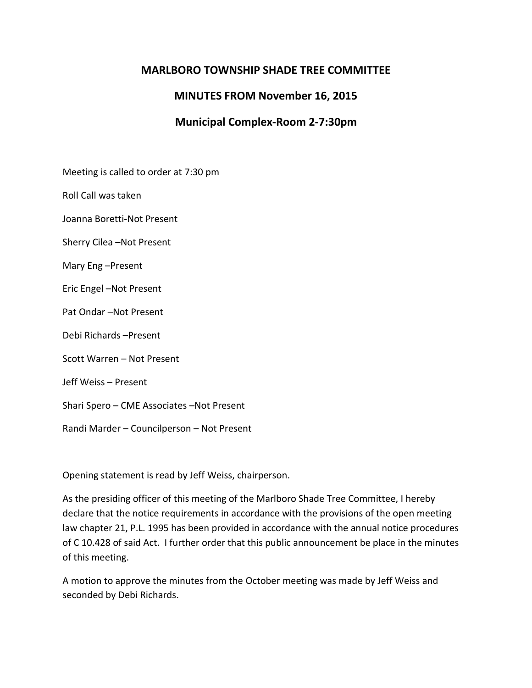# **MARLBORO TOWNSHIP SHADE TREE COMMITTEE**

# **MINUTES FROM November 16, 2015**

# **Municipal Complex-Room 2-7:30pm**

Meeting is called to order at 7:30 pm

Roll Call was taken

Joanna Boretti-Not Present

Sherry Cilea –Not Present

Mary Eng –Present

Eric Engel –Not Present

Pat Ondar –Not Present

Debi Richards –Present

Scott Warren – Not Present

Jeff Weiss – Present

Shari Spero – CME Associates –Not Present

Randi Marder – Councilperson – Not Present

Opening statement is read by Jeff Weiss, chairperson.

As the presiding officer of this meeting of the Marlboro Shade Tree Committee, I hereby declare that the notice requirements in accordance with the provisions of the open meeting law chapter 21, P.L. 1995 has been provided in accordance with the annual notice procedures of C 10.428 of said Act. I further order that this public announcement be place in the minutes of this meeting.

A motion to approve the minutes from the October meeting was made by Jeff Weiss and seconded by Debi Richards.